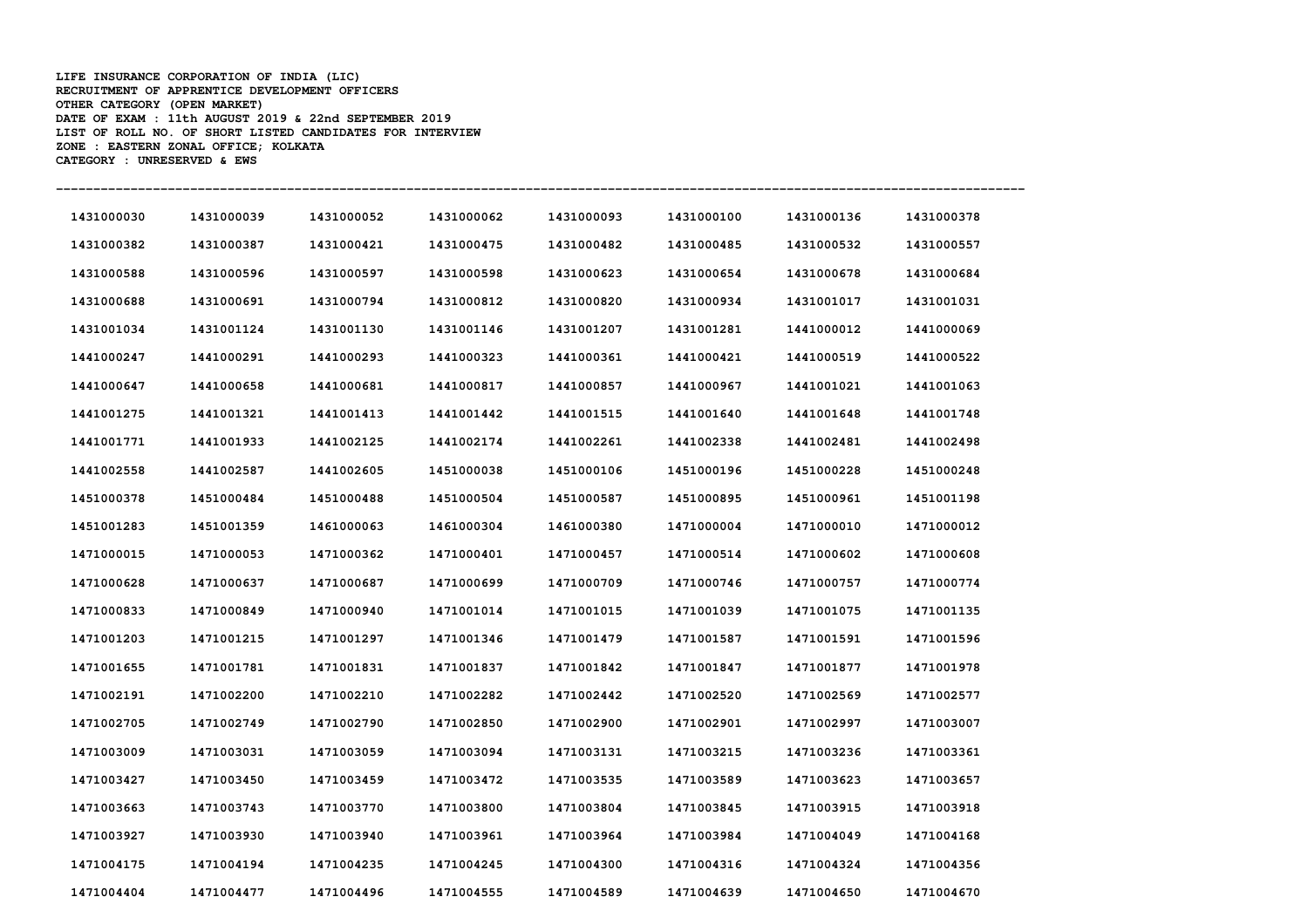**LIFE INSURANCE CORPORATION OF INDIA (LIC) RECRUITMENT OF APPRENTICE DEVELOPMENT OFFICERS OTHER CATEGORY (OPEN MARKET) DATE OF EXAM : 11th AUGUST 2019 & 22nd SEPTEMBER 2019 LIST OF ROLL NO. OF SHORT LISTED CANDIDATES FOR INTERVIEW ZONE : EASTERN ZONAL OFFICE; KOLKATA CATEGORY : UNRESERVED & EWS** 

| 1431000030 | 1431000039 | 1431000052 | 1431000062 | 1431000093 | 1431000100 | 1431000136 | 1431000378 |
|------------|------------|------------|------------|------------|------------|------------|------------|
| 1431000382 | 1431000387 | 1431000421 | 1431000475 | 1431000482 | 1431000485 | 1431000532 | 1431000557 |
| 1431000588 | 1431000596 | 1431000597 | 1431000598 | 1431000623 | 1431000654 | 1431000678 | 1431000684 |
| 1431000688 | 1431000691 | 1431000794 | 1431000812 | 1431000820 | 1431000934 | 1431001017 | 1431001031 |
| 1431001034 | 1431001124 | 1431001130 | 1431001146 | 1431001207 | 1431001281 | 1441000012 | 1441000069 |
| 1441000247 | 1441000291 | 1441000293 | 1441000323 | 1441000361 | 1441000421 | 1441000519 | 1441000522 |
| 1441000647 | 1441000658 | 1441000681 | 1441000817 | 1441000857 | 1441000967 | 1441001021 | 1441001063 |
| 1441001275 | 1441001321 | 1441001413 | 1441001442 | 1441001515 | 1441001640 | 1441001648 | 1441001748 |
| 1441001771 | 1441001933 | 1441002125 | 1441002174 | 1441002261 | 1441002338 | 1441002481 | 1441002498 |
| 1441002558 | 1441002587 | 1441002605 | 1451000038 | 1451000106 | 1451000196 | 1451000228 | 1451000248 |
| 1451000378 | 1451000484 | 1451000488 | 1451000504 | 1451000587 | 1451000895 | 1451000961 | 1451001198 |
| 1451001283 | 1451001359 | 1461000063 | 1461000304 | 1461000380 | 1471000004 | 1471000010 | 1471000012 |
| 1471000015 | 1471000053 | 1471000362 | 1471000401 | 1471000457 | 1471000514 | 1471000602 | 1471000608 |
| 1471000628 | 1471000637 | 1471000687 | 1471000699 | 1471000709 | 1471000746 | 1471000757 | 1471000774 |
| 1471000833 | 1471000849 | 1471000940 | 1471001014 | 1471001015 | 1471001039 | 1471001075 | 1471001135 |
| 1471001203 | 1471001215 | 1471001297 | 1471001346 | 1471001479 | 1471001587 | 1471001591 | 1471001596 |
| 1471001655 | 1471001781 | 1471001831 | 1471001837 | 1471001842 | 1471001847 | 1471001877 | 1471001978 |
| 1471002191 | 1471002200 | 1471002210 | 1471002282 | 1471002442 | 1471002520 | 1471002569 | 1471002577 |
| 1471002705 | 1471002749 | 1471002790 | 1471002850 | 1471002900 | 1471002901 | 1471002997 | 1471003007 |
| 1471003009 | 1471003031 | 1471003059 | 1471003094 | 1471003131 | 1471003215 | 1471003236 | 1471003361 |
| 1471003427 | 1471003450 | 1471003459 | 1471003472 | 1471003535 | 1471003589 | 1471003623 | 1471003657 |
| 1471003663 | 1471003743 | 1471003770 | 1471003800 | 1471003804 | 1471003845 | 1471003915 | 1471003918 |
| 1471003927 | 1471003930 | 1471003940 | 1471003961 | 1471003964 | 1471003984 | 1471004049 | 1471004168 |
| 1471004175 | 1471004194 | 1471004235 | 1471004245 | 1471004300 | 1471004316 | 1471004324 | 1471004356 |
| 1471004404 | 1471004477 | 1471004496 | 1471004555 | 1471004589 | 1471004639 | 1471004650 | 1471004670 |

**----------------------------------------------------------------------------------------------------------------------------------**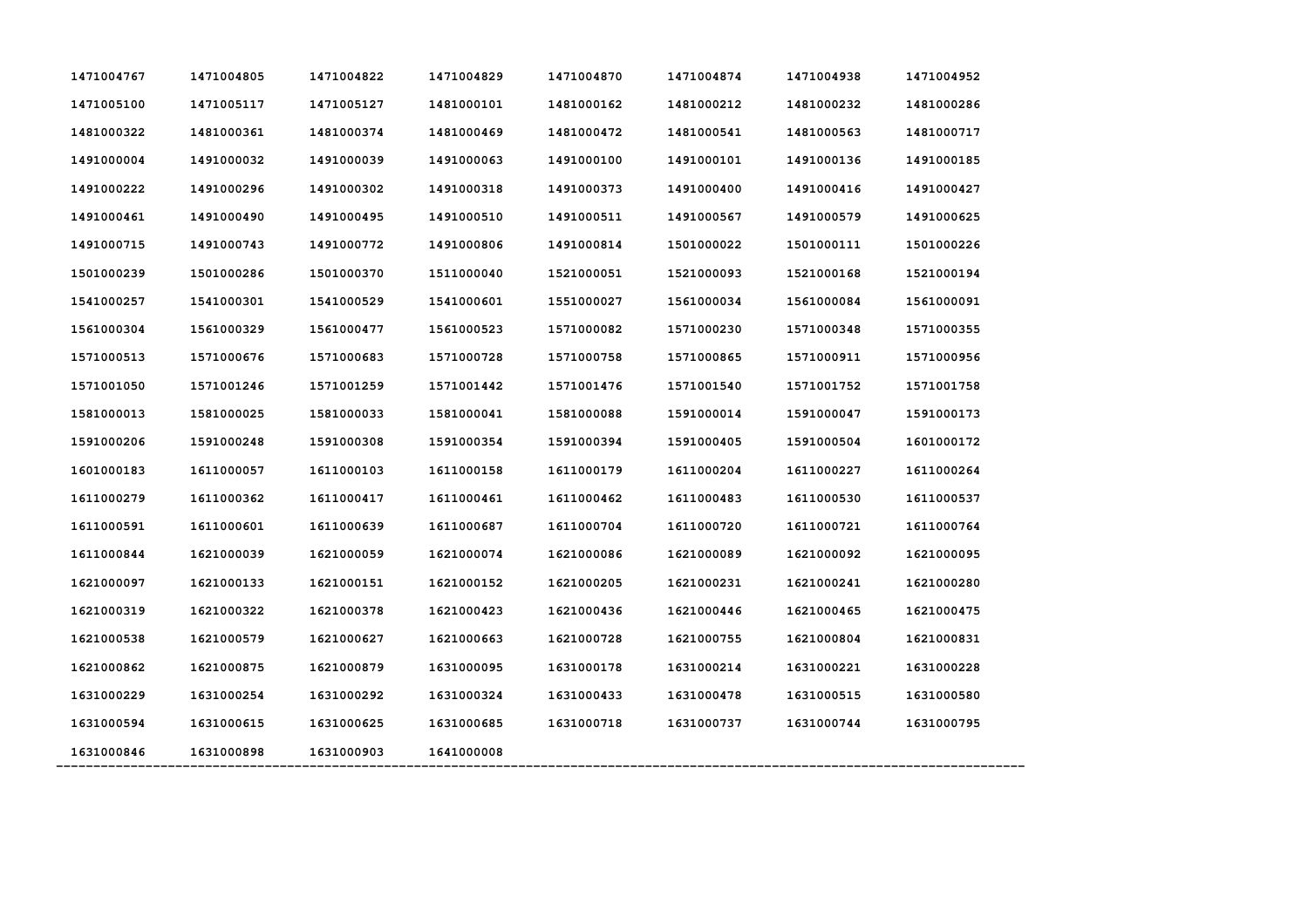| 1471004767 | 1471004805 | 1471004822 | 1471004829 | 1471004870 | 1471004874 | 1471004938 | 1471004952 |
|------------|------------|------------|------------|------------|------------|------------|------------|
| 1471005100 | 1471005117 | 1471005127 | 1481000101 | 1481000162 | 1481000212 | 1481000232 | 1481000286 |
| 1481000322 | 1481000361 | 1481000374 | 1481000469 | 1481000472 | 1481000541 | 1481000563 | 1481000717 |
| 1491000004 | 1491000032 | 1491000039 | 1491000063 | 1491000100 | 1491000101 | 1491000136 | 1491000185 |
| 1491000222 | 1491000296 | 1491000302 | 1491000318 | 1491000373 | 1491000400 | 1491000416 | 1491000427 |
| 1491000461 | 1491000490 | 1491000495 | 1491000510 | 1491000511 | 1491000567 | 1491000579 | 1491000625 |
| 1491000715 | 1491000743 | 1491000772 | 1491000806 | 1491000814 | 1501000022 | 1501000111 | 1501000226 |
| 1501000239 | 1501000286 | 1501000370 | 1511000040 | 1521000051 | 1521000093 | 1521000168 | 1521000194 |
| 1541000257 | 1541000301 | 1541000529 | 1541000601 | 1551000027 | 1561000034 | 1561000084 | 1561000091 |
| 1561000304 | 1561000329 | 1561000477 | 1561000523 | 1571000082 | 1571000230 | 1571000348 | 1571000355 |
| 1571000513 | 1571000676 | 1571000683 | 1571000728 | 1571000758 | 1571000865 | 1571000911 | 1571000956 |
| 1571001050 | 1571001246 | 1571001259 | 1571001442 | 1571001476 | 1571001540 | 1571001752 | 1571001758 |
| 1581000013 | 1581000025 | 1581000033 | 1581000041 | 1581000088 | 1591000014 | 1591000047 | 1591000173 |
| 1591000206 | 1591000248 | 1591000308 | 1591000354 | 1591000394 | 1591000405 | 1591000504 | 1601000172 |
| 1601000183 | 1611000057 | 1611000103 | 1611000158 | 1611000179 | 1611000204 | 1611000227 | 1611000264 |
| 1611000279 | 1611000362 | 1611000417 | 1611000461 | 1611000462 | 1611000483 | 1611000530 | 1611000537 |
| 1611000591 | 1611000601 | 1611000639 | 1611000687 | 1611000704 | 1611000720 | 1611000721 | 1611000764 |
| 1611000844 | 1621000039 | 1621000059 | 1621000074 | 1621000086 | 1621000089 | 1621000092 | 1621000095 |
| 1621000097 | 1621000133 | 1621000151 | 1621000152 | 1621000205 | 1621000231 | 1621000241 | 1621000280 |
| 1621000319 | 1621000322 | 1621000378 | 1621000423 | 1621000436 | 1621000446 | 1621000465 | 1621000475 |
| 1621000538 | 1621000579 | 1621000627 | 1621000663 | 1621000728 | 1621000755 | 1621000804 | 1621000831 |
| 1621000862 | 1621000875 | 1621000879 | 1631000095 | 1631000178 | 1631000214 | 1631000221 | 1631000228 |
| 1631000229 | 1631000254 | 1631000292 | 1631000324 | 1631000433 | 1631000478 | 1631000515 | 1631000580 |
| 1631000594 | 1631000615 | 1631000625 | 1631000685 | 1631000718 | 1631000737 | 1631000744 | 1631000795 |
| 1631000846 | 1631000898 | 1631000903 | 1641000008 |            |            |            |            |